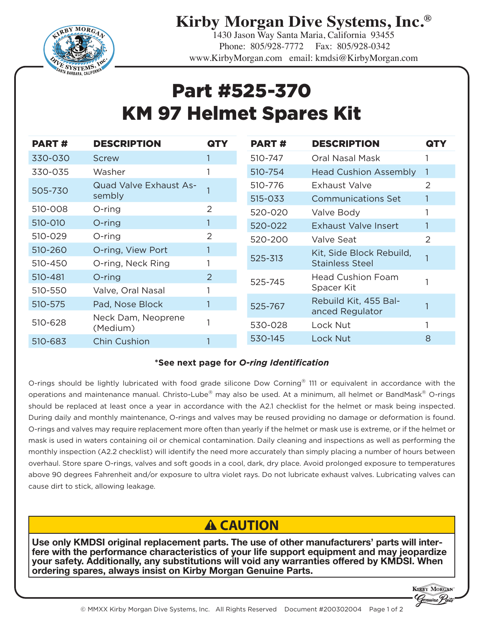

**Kirby Morgan Dive Systems, Inc.®**

1430 Jason Way Santa Maria, California 93455 Phone: 805/928-7772 Fax: 805/928-0342 www.KirbyMorgan.com email: kmdsi@KirbyMorgan.com

## Part #525-370 KM 97 Helmet Spares Kit

| <b>PART#</b> | <b>DESCRIPTION</b>            | QTY | <b>PART#</b> | <b>DESCRIPTION</b>           | QTY            |
|--------------|-------------------------------|-----|--------------|------------------------------|----------------|
| 330-030      | Screw                         |     | 510-747      | Oral Nasal Mask              |                |
| 330-035      | Washer                        |     | 510-754      | <b>Head Cushion Assembly</b> |                |
| 505-730      | <b>Quad Valve Exhaust As-</b> |     | 510-776      | Exhaust Valve                | 2              |
|              | sembly                        |     | 515-033      | <b>Communications Set</b>    |                |
| 510-008      | $O$ -ring                     | 2   | 520-020      | Valve Body                   |                |
| 510-010      | O-ring                        |     | 520-022      | <b>Exhaust Valve Insert</b>  |                |
| 510-029      | $O$ -ring                     | 2   | 520-200      | Valve Seat                   | $\overline{2}$ |
| 510-260      | O-ring, View Port             |     | 525-313      | Kit, Side Block Rebuild,     |                |
| 510-450      | O-ring, Neck Ring             |     |              | <b>Stainless Steel</b>       |                |
| 510-481      | $O$ -ring                     | 2   | 525-745      | <b>Head Cushion Foam</b>     |                |
| 510-550      | Valve, Oral Nasal             |     |              | Spacer Kit                   |                |
| 510-575      | Pad, Nose Block               |     | 525-767      | Rebuild Kit, 455 Bal-        |                |
| 510-628      | Neck Dam, Neoprene            |     |              | anced Regulator              |                |
|              | (Medium)                      |     | 530-028      | Lock Nut                     |                |
| 510-683      | <b>Chin Cushion</b>           |     | 530-145      | Lock Nut                     | 8              |

## **\*See next page for** *O-ring Identification*

O-rings should be lightly lubricated with food grade silicone Dow Corning® 111 or equivalent in accordance with the operations and maintenance manual. Christo-Lube® may also be used. At a minimum, all helmet or BandMask® O-rings should be replaced at least once a year in accordance with the A2.1 checklist for the helmet or mask being inspected. During daily and monthly maintenance, O-rings and valves may be reused providing no damage or deformation is found. O-rings and valves may require replacement more often than yearly if the helmet or mask use is extreme, or if the helmet or mask is used in waters containing oil or chemical contamination. Daily cleaning and inspections as well as performing the monthly inspection (A2.2 checklist) will identify the need more accurately than simply placing a number of hours between overhaul. Store spare O-rings, valves and soft goods in a cool, dark, dry place. Avoid prolonged exposure to temperatures above 90 degrees Fahrenheit and/or exposure to ultra violet rays. Do not lubricate exhaust valves. Lubricating valves can cause dirt to stick, allowing leakage.

## **A CAUTION**

**Use only KMDSI original replacement parts. The use of other manufacturers' parts will inter- fere with the performance characteristics of your life support equipment and may jeopardize your safety. Additionally, any substitutions will void any warranties offered by KMDSI. When ordering spares, always insist on Kirby Morgan Genuine Parts.**